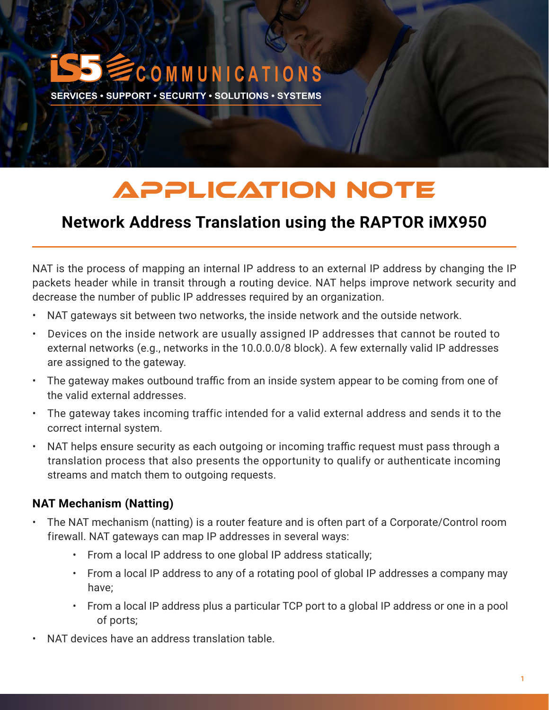# **C O M M U N I C A T I O N S**

**SERVICES • SUPPORT • SECURITY • SOLUTIONS • SYSTEMS** 

## APPLICATION NOTE

### **Network Address Translation using the RAPTOR iMX950**

NAT is the process of mapping an internal IP address to an external IP address by changing the IP packets header while in transit through a routing device. NAT helps improve network security and decrease the number of public IP addresses required by an organization.

- NAT gateways sit between two networks, the inside network and the outside network.
- Devices on the inside network are usually assigned IP addresses that cannot be routed to external networks (e.g., networks in the 10.0.0.0/8 block). A few externally valid IP addresses are assigned to the gateway.
- The gateway makes outbound traffic from an inside system appear to be coming from one of the valid external addresses.
- The gateway takes incoming traffic intended for a valid external address and sends it to the correct internal system.
- NAT helps ensure security as each outgoing or incoming traffic request must pass through a translation process that also presents the opportunity to qualify or authenticate incoming streams and match them to outgoing requests.

#### **NAT Mechanism (Natting)**

- The NAT mechanism (natting) is a router feature and is often part of a Corporate/Control room firewall. NAT gateways can map IP addresses in several ways:
	- From a local IP address to one global IP address statically;
	- From a local IP address to any of a rotating pool of global IP addresses a company may have;
	- From a local IP address plus a particular TCP port to a global IP address or one in a pool of ports;
- NAT devices have an address translation table.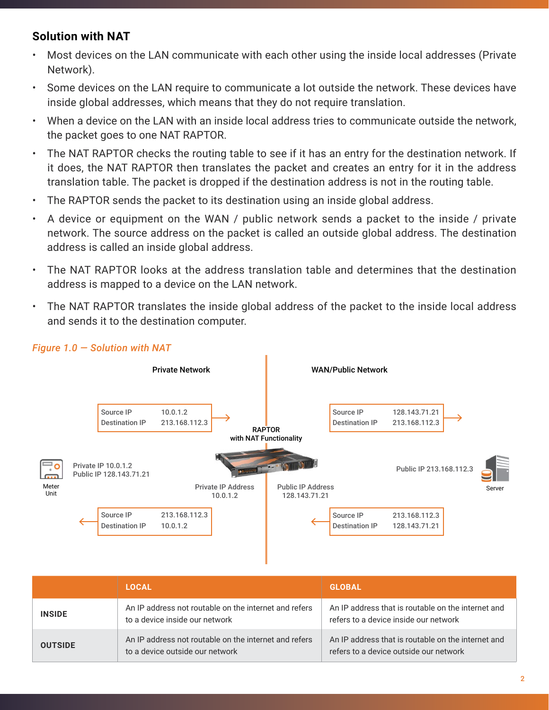#### **Solution with NAT**

- Most devices on the LAN communicate with each other using the inside local addresses (Private Network).
- Some devices on the LAN require to communicate a lot outside the network. These devices have inside global addresses, which means that they do not require translation.
- When a device on the LAN with an inside local address tries to communicate outside the network, the packet goes to one NAT RAPTOR.
- The NAT RAPTOR checks the routing table to see if it has an entry for the destination network. If it does, the NAT RAPTOR then translates the packet and creates an entry for it in the address translation table. The packet is dropped if the destination address is not in the routing table.
- The RAPTOR sends the packet to its destination using an inside global address.
- A device or equipment on the WAN / public network sends a packet to the inside / private network. The source address on the packet is called an outside global address. The destination address is called an inside global address.
- The NAT RAPTOR looks at the address translation table and determines that the destination address is mapped to a device on the LAN network.
- The NAT RAPTOR translates the inside global address of the packet to the inside local address and sends it to the destination computer.



#### *Figure 1.0 — Solution with NAT*

|                | <b>LOCAL</b>                                                                             | <b>GLOBAL</b>                                                                                |
|----------------|------------------------------------------------------------------------------------------|----------------------------------------------------------------------------------------------|
| <b>INSIDE</b>  | An IP address not routable on the internet and refers<br>to a device inside our network  | An IP address that is routable on the internet and<br>refers to a device inside our network  |
| <b>OUTSIDE</b> | An IP address not routable on the internet and refers<br>to a device outside our network | An IP address that is routable on the internet and<br>refers to a device outside our network |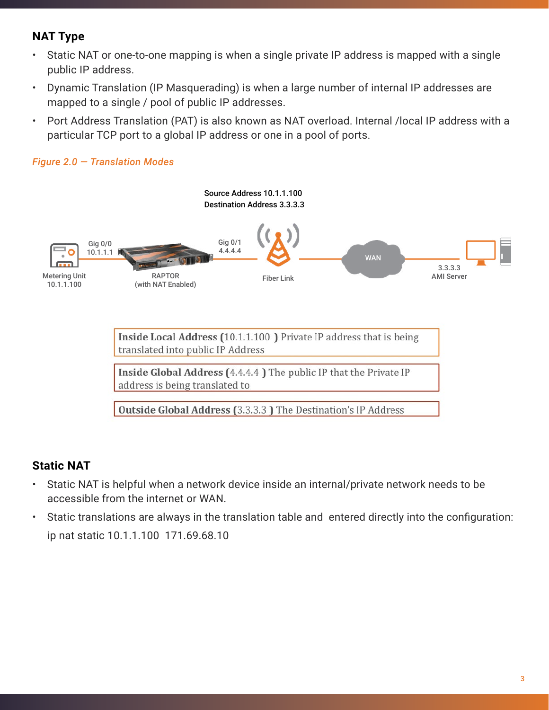#### **NAT Type**

*Figure 2.0 — Translation Modes*

- Static NAT or one-to-one mapping is when a single private IP address is mapped with a single public IP address.
- Dynamic Translation (IP Masquerading) is when a large number of internal IP addresses are mapped to a single / pool of public IP addresses.
- Port Address Translation (PAT) is also known as NAT overload. Internal /local IP address with a particular TCP port to a global IP address or one in a pool of ports.



Inside Local Address (10.1.1.100) Private IP address that is being translated into public IP Address

Inside Global Address (4.4.4.4) The public IP that the Private IP address is being translated to

**Outside Global Address (3.3.3.3)** The Destination's IP Address

#### **Static NAT**

- Static NAT is helpful when a network device inside an internal/private network needs to be accessible from the internet or WAN.
- Static translations are always in the translation table and entered directly into the configuration: ip nat static 10.1.1.100 171.69.68.10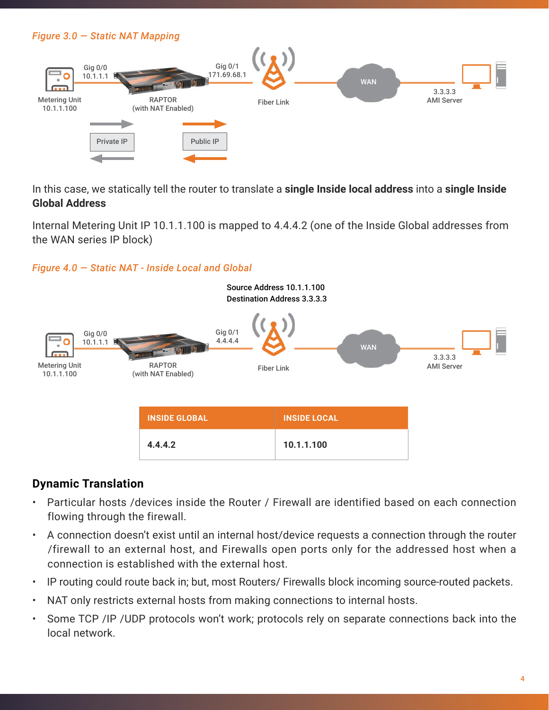#### *Figure 3.0 — Static NAT Mapping*



In this case, we statically tell the router to translate a **single Inside local address** into a **single Inside Global Address**

Internal Metering Unit IP 10.1.1.100 is mapped to 4.4.4.2 (one of the Inside Global addresses from the WAN series IP block)

*Figure 4.0 — Static NAT - Inside Local and Global*



#### **Dynamic Translation**

- Particular hosts /devices inside the Router / Firewall are identified based on each connection flowing through the firewall.
- A connection doesn't exist until an internal host/device requests a connection through the router /firewall to an external host, and Firewalls open ports only for the addressed host when a connection is established with the external host.
- IP routing could route back in; but, most Routers/ Firewalls block incoming source-routed packets.
- NAT only restricts external hosts from making connections to internal hosts.
- Some TCP /IP /UDP protocols won't work; protocols rely on separate connections back into the local network.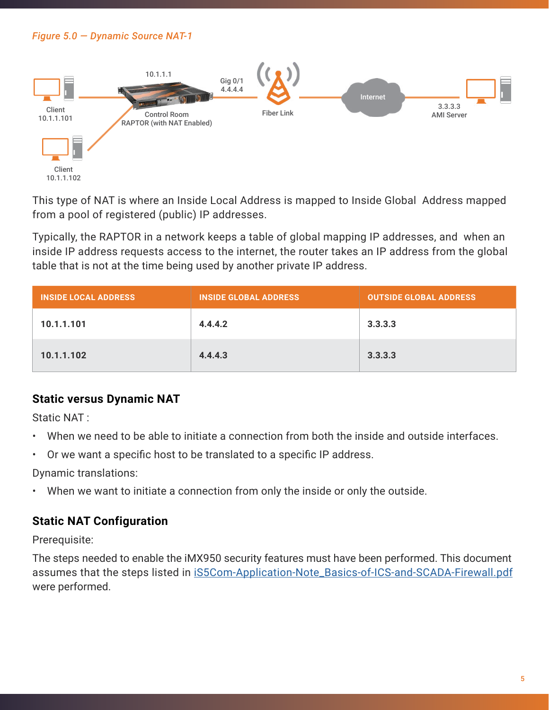#### *Figure 5.0 — Dynamic Source NAT-1*



This type of NAT is where an Inside Local Address is mapped to Inside Global Address mapped from a pool of registered (public) IP addresses.

Typically, the RAPTOR in a network keeps a table of global mapping IP addresses, and when an inside IP address requests access to the internet, the router takes an IP address from the global table that is not at the time being used by another private IP address.

| <b>INSIDE LOCAL ADDRESS</b> | <b>INSIDE GLOBAL ADDRESS</b> | <b>OUTSIDE GLOBAL ADDRESS</b> |
|-----------------------------|------------------------------|-------------------------------|
| 10.1.1.101                  | 4.4.4.2                      | 3.3.3.3                       |
| 10.1.1.102                  | 4.4.4.3                      | 3.3.3.3                       |

#### **Static versus Dynamic NAT**

Static NAT :

- When we need to be able to initiate a connection from both the inside and outside interfaces.
- Or we want a specific host to be translated to a specific IP address.

Dynamic translations:

When we want to initiate a connection from only the inside or only the outside.

#### **Static NAT Configuration**

Prerequisite:

The steps needed to enable the iMX950 security features must have been performed. This document assumes that the steps listed in [iS5Com-Application-Note\\_Basics-of-ICS-and-SCADA-Firewall.pdf](https://is5com.com/wp-content/uploads/iS5Com-Application-Note_Basics-of-ICS-and-SCADA-Firewall.pdf) were performed.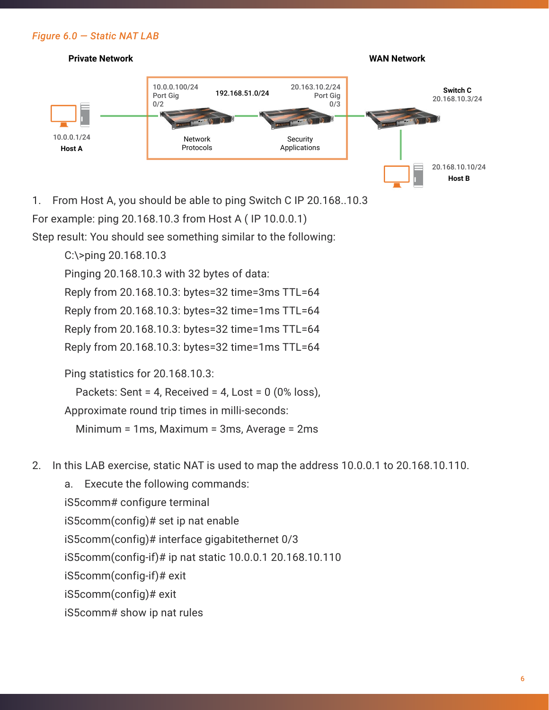#### *Figure 6.0 — Static NAT LAB*



1. From Host A, you should be able to ping Switch C IP 20.168..10.3 For example: ping 20.168.10.3 from Host A ( IP 10.0.0.1)

Step result: You should see something similar to the following:

C:\>ping 20.168.10.3

Pinging 20.168.10.3 with 32 bytes of data:

Reply from 20.168.10.3: bytes=32 time=3ms TTL=64

Reply from 20.168.10.3: bytes=32 time=1ms TTL=64

Reply from 20.168.10.3: bytes=32 time=1ms TTL=64

Reply from 20.168.10.3: bytes=32 time=1ms TTL=64

Ping statistics for 20.168.10.3:

Packets: Sent = 4, Received = 4, Lost =  $0$  (0% loss),

Approximate round trip times in milli-seconds:

Minimum = 1ms, Maximum = 3ms, Average = 2ms

2. In this LAB exercise, static NAT is used to map the address 10.0.0.1 to 20.168.10.110.

a. Execute the following commands: iS5comm# configure terminal iS5comm(config)# set ip nat enable iS5comm(config)# interface gigabitethernet 0/3 iS5comm(config-if)# ip nat static 10.0.0.1 20.168.10.110 iS5comm(config-if)# exit iS5comm(config)# exit iS5comm# show ip nat rules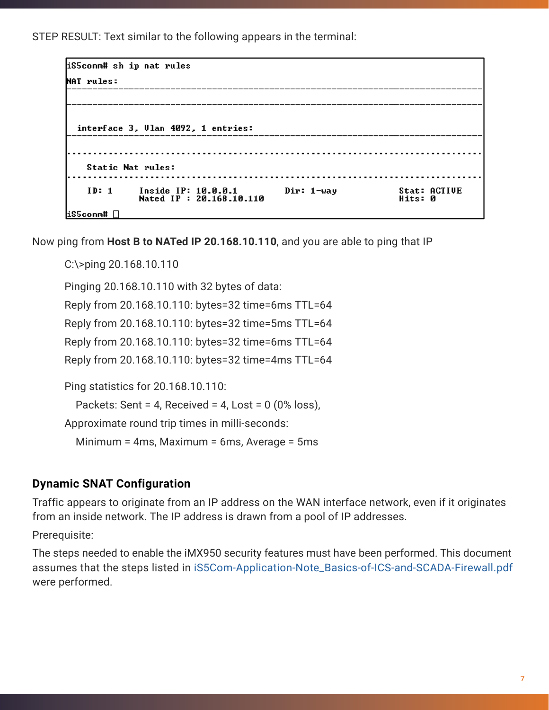STEP RESULT: Text similar to the following appears in the terminal:

| iS5comm# sh ip nat rules           |                                                |            |                                |
|------------------------------------|------------------------------------------------|------------|--------------------------------|
| NAT rules:                         |                                                |            |                                |
|                                    |                                                |            |                                |
| interface 3, Ulan 4092, 1 entries: |                                                |            |                                |
| Static Nat rules:                  |                                                |            |                                |
| ID: 1                              | Inside IP: 10.0.0.1<br>Nated IP: 20.168.10.110 | Dir: 1-way | <b>Stat: ACTIUE</b><br>Hits: 0 |
| $l$ iS5comm# $\Box$                |                                                |            |                                |

Now ping from **Host B to NATed IP 20.168.10.110**, and you are able to ping that IP

C:\>ping 20.168.10.110

Pinging 20.168.10.110 with 32 bytes of data:

Reply from 20.168.10.110: bytes=32 time=6ms TTL=64

Reply from 20.168.10.110: bytes=32 time=5ms TTL=64

Reply from 20.168.10.110: bytes=32 time=6ms TTL=64

Reply from 20.168.10.110: bytes=32 time=4ms TTL=64

Ping statistics for 20.168.10.110:

Packets: Sent = 4, Received = 4, Lost =  $0$  (0% loss),

Approximate round trip times in milli-seconds:

Minimum = 4ms, Maximum = 6ms, Average = 5ms

#### **Dynamic SNAT Configuration**

Traffic appears to originate from an IP address on the WAN interface network, even if it originates from an inside network. The IP address is drawn from a pool of IP addresses.

Prerequisite:

The steps needed to enable the iMX950 security features must have been performed. This document assumes that the steps listed in [iS5Com-Application-Note\\_Basics-of-ICS-and-SCADA-Firewall.pdf](https://is5com.com/wp-content/uploads/iS5Com-Application-Note_Basics-of-ICS-and-SCADA-Firewall.pdf) were performed.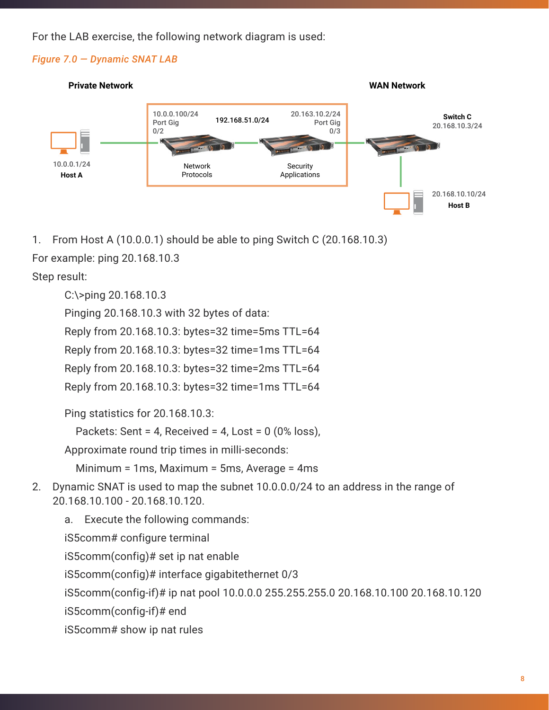For the LAB exercise, the following network diagram is used:

#### *Figure 7.0 — Dynamic SNAT LAB*



1. From Host A (10.0.0.1) should be able to ping Switch C (20.168.10.3)

For example: ping 20.168.10.3

Step result:

C:\>ping 20.168.10.3

Pinging 20.168.10.3 with 32 bytes of data:

Reply from 20.168.10.3: bytes=32 time=5ms TTL=64

Reply from 20.168.10.3: bytes=32 time=1ms TTL=64

Reply from 20.168.10.3: bytes=32 time=2ms TTL=64

Reply from 20.168.10.3: bytes=32 time=1ms TTL=64

Ping statistics for 20.168.10.3:

Packets: Sent = 4, Received = 4, Lost =  $0$  (0% loss),

Approximate round trip times in milli-seconds:

Minimum = 1ms, Maximum = 5ms, Average = 4ms

2. Dynamic SNAT is used to map the subnet 10.0.0.0/24 to an address in the range of 20.168.10.100 - 20.168.10.120.

a. Execute the following commands: iS5comm# configure terminal iS5comm(config)# set ip nat enable iS5comm(config)# interface gigabitethernet 0/3 iS5comm(config-if)# ip nat pool 10.0.0.0 255.255.255.0 20.168.10.100 20.168.10.120 iS5comm(config-if)# end iS5comm# show ip nat rules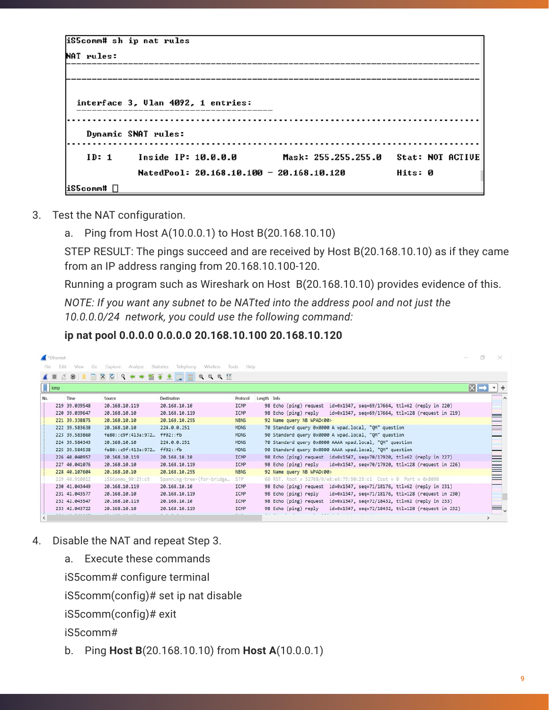| iS5comm# sh ip nat rules |                                            |                                                                          |         |
|--------------------------|--------------------------------------------|--------------------------------------------------------------------------|---------|
| NAT rules:               |                                            |                                                                          |         |
|                          |                                            |                                                                          |         |
|                          |                                            |                                                                          |         |
|                          | interface 3, Ulan 4092, 1 entries:         |                                                                          |         |
|                          |                                            |                                                                          |         |
|                          |                                            |                                                                          |         |
|                          | Dynamic SNAT rules:                        |                                                                          |         |
|                          |                                            | ID: 1 Inside IP: 10.0.0.0         Mask: 255.255.255.0   Stat: NOT ACTIUE |         |
|                          |                                            |                                                                          |         |
|                          | NatedPool: $20.168.10.100 - 20.168.10.120$ |                                                                          | Hits: 0 |
| $i$ S5comm# $\Box$       |                                            |                                                                          |         |

- 3. Test the NAT configuration.
	- a. Ping from Host A(10.0.0.1) to Host B(20.168.10.10)

STEP RESULT: The pings succeed and are received by Host B(20.168.10.10) as if they came from an IP address ranging from 20.168.10.100-120.

Running a program such as Wireshark on Host B(20.168.10.10) provides evidence of this.

*NOTE: If you want any subnet to be NATted into the address pool and not just the 10.0.0.0/24 network, you could use the following command:*

**ip nat pool 0.0.0.0 0.0.0.0 20.168.10.100 20.168.10.120**

|                | Ethernet                  |               |                     |                                                  |               |             |                                                                           | 市               |              |
|----------------|---------------------------|---------------|---------------------|--------------------------------------------------|---------------|-------------|---------------------------------------------------------------------------|-----------------|--------------|
| File           | <b>Fdit</b>               | View<br>Go.   | Capture<br>Analyze  | <b>Statistics</b><br>Telephony<br>Wireless Tools | Help          |             |                                                                           |                 |              |
| $\blacksquare$ |                           | $C$ $\odot$   |                     | <b>B X Q Q + + S + + E E Q Q Q H</b>             |               |             |                                                                           |                 |              |
|                | $\sqrt{\frac{1}{2}}$ icmp |               |                     |                                                  |               |             |                                                                           | $x \rightarrow$ | $\mathbf{v}$ |
| No.            |                           | Time          | Source              | Destination                                      | Protocol      | Length Info |                                                                           |                 |              |
|                |                           | 219 39.039548 | 20.168.10.119       | 20.168.10.10                                     | <b>ICMP</b>   |             | 98 Echo (ping) request id=0x1547, seq=69/17664, ttl=62 (reply in 220)     |                 |              |
|                |                           | 220 39.039647 | 20.168.10.10        | 20.168.10.119                                    | ICMP          |             | id=0x1547, seq=69/17664, ttl=128 (request in 219)<br>98 Echo (ping) reply |                 |              |
|                |                           | 221 39.338875 | 20.168.10.10        | 20.168.10.255                                    | <b>NBNS</b>   |             | 92 Name query NB WPAD<00>                                                 |                 |              |
|                |                           | 222 39.583638 | 20.168.10.10        | 224.0.0.251                                      | <b>MDNS</b>   |             | 70 Standard query 0x0000 A wpad.local, "OM" question                      |                 |              |
|                |                           | 223 39.583860 | fe80::c9f:413a:972. | ff@2::fb                                         | <b>MDNS</b>   |             | 90 Standard query 0x0000 A wpad.local, "QM" question                      |                 |              |
|                |                           | 224 39.584343 | 20.168.10.10        | 224.0.0.251                                      | <b>MDNS</b>   |             | 70 Standard query 0x0000 AAAA wpad.local, "QM" question                   |                 |              |
|                |                           | 225 39.584538 | fe80::c9f:413a:972  | ff02::fb                                         | <b>MDNS</b>   |             | 90 Standard query 0x0000 AAAA wpad.local, "QM" question                   |                 |              |
|                |                           | 226 40.040957 | 20.168.10.119       | 20.168.10.10                                     | ICMP          |             | 98 Echo (ping) request id=0x1547, seq=70/17920, ttl=62 (reply in 227)     |                 |              |
|                |                           | 227 40.041076 | 20.168.10.10        | 20.168.10.119                                    | ICMP          |             | 98 Echo (ping) reply id=0x1547, seq=70/17920, ttl=128 (request in 226)    |                 |              |
|                |                           | 228 40.107604 | 20.168.10.10        | 20.168.10.255                                    | <b>NBNS</b>   |             | 92 Name query NB WPAD<00>                                                 |                 |              |
|                |                           | 229 48.910012 | iS5Commu 90:25:c9   | Spanning-tree-(for-bridge                        | <b>STP</b>    |             | 60 RST. Root = 32768/0/e8:e8:75:90:25:c1 Cost = 0 Port = 0x8008           |                 |              |
|                |                           | 230 41.043449 | 20.168.10.119       | 20.168.10.10                                     | ICMP          |             | 98 Echo (ping) request id=0x1547, seq=71/18176, ttl=62 (reply in 231)     |                 |              |
|                |                           | 231 41.043577 | 20.168.10.10        | 20.168.10.119                                    | ICMP          |             | id=0x1547, seq=71/18176, ttl=128 (request in 230)<br>98 Echo (ping) reply |                 |              |
|                |                           | 232 42.043547 | 20.168.10.119       | 20.168.10.10                                     | ICMP          |             | 98 Echo (ping) request id=0x1547, seq=72/18432, ttl=62 (reply in 233)     |                 |              |
|                |                           | 233 42.043722 | 20.168.10.10        | 20.168.10.119                                    | ICMP<br>1.114 |             | 98 Echo (ping) reply<br>id=0x1547, seq=72/18432, ttl=128 (request in 232) |                 |              |
|                |                           |               |                     |                                                  |               |             |                                                                           |                 |              |

- 4. Disable the NAT and repeat Step 3.
	- a. Execute these commands

iS5comm# configure terminal

iS5comm(config)# set ip nat disable

iS5comm(config)# exit

iS5comm#

b. Ping **Host B**(20.168.10.10) from **Host A**(10.0.0.1)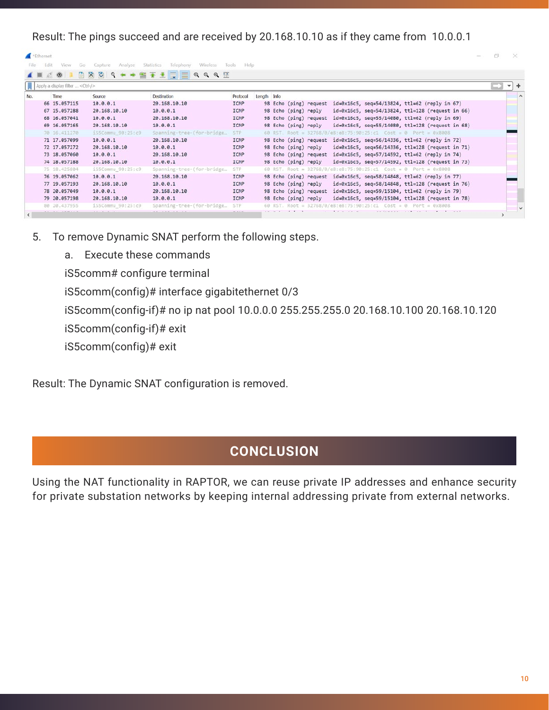Result: The pings succeed and are received by 20.168.10.10 as if they came from 10.0.0.1

|      | "Ethernet                              |                    |                                            |               |             |                      |                        |                                                                       |                                                                   | 而 | $\times$ |                     |
|------|----------------------------------------|--------------------|--------------------------------------------|---------------|-------------|----------------------|------------------------|-----------------------------------------------------------------------|-------------------------------------------------------------------|---|----------|---------------------|
| File | Edit<br>View<br>Go                     | Capture<br>Analyze | <b>Statistics</b><br>Telephony<br>Wireless | Tools<br>Help |             |                      |                        |                                                                       |                                                                   |   |          |                     |
|      | 画<br>$\odot$                           | XO                 | Q + + M T + J = Q Q Q H                    |               |             |                      |                        |                                                                       |                                                                   |   |          |                     |
|      | Apply a display filter <ctrl-></ctrl-> |                    |                                            |               |             |                      |                        |                                                                       |                                                                   |   | $-$      |                     |
| No.  | Time                                   | Source             | <b>Destination</b>                         | Protocol      | Length Info |                      |                        |                                                                       |                                                                   |   |          | $\hat{\phantom{a}}$ |
|      | 66 15.057115                           | 10.0.0.1           | 20.168.10.10                               | <b>ICMP</b>   |             |                      | 98 Echo (ping) request | id=0x16c5, seq=54/13824, ttl=62 (reply in 67)                         |                                                                   |   |          |                     |
|      | 67 15.057288                           | 20.168.10.10       | 10.0.0.1                                   | <b>ICMP</b>   |             | 98 Echo (ping) reply |                        |                                                                       | $id=0x16c5$ , seq=54/13824, ttl=128 (request in 66)               |   |          |                     |
|      | 68 16.057041                           | 10.0.0.1           | 20.168.10.10                               | <b>ICMP</b>   |             |                      |                        | 98 Echo (ping) request id=0x16c5, seq=55/14080, ttl=62 (reply in 69)  |                                                                   |   |          |                     |
|      | 69 16.057165                           | 20.168.10.10       | 10.0.0.1                                   | ICMP          |             | 98 Echo (ping) reply |                        |                                                                       | $id = 0 \times 16c5$ , seq=55/14080, ttl=128 (request in 68)      |   |          |                     |
|      | 70 16.411270                           | iS5Commu 90:25:c9  | Spanning-tree-(for-bridge                  | STP:          |             |                      |                        | 60 RST. Root = 32768/0/e8:e8:75:90:25:c1 Cost = 0 Port = 0x8008       |                                                                   |   |          |                     |
|      | 71 17.057099                           | 10.0.0.1           | 20.168.10.10                               | ICMP          |             |                      |                        | 98 Echo (ping) request id=0x16c5, seq=56/14336, ttl=62 (reply in 72)  |                                                                   |   |          |                     |
|      | 72 17.057272                           | 20.168.10.10       | 10.0.0.1                                   | ICMP          |             |                      | 98 Echo (ping) reply   |                                                                       | $id = 0 \times 16c5$ , $seq = 56/14336$ , ttl=128 (request in 71) |   |          |                     |
|      | 73 18,057060                           | 10.0.0.1           | 20.168.10.10                               | <b>ICMP</b>   |             |                      |                        | 98 Echo (ping) request id=0x16c5, seq=57/14592, ttl=62 (reply in 74)  |                                                                   |   |          |                     |
|      | 74 18,057188                           | 20.168.10.10       | 10.0.0.1                                   | ICMP          |             |                      | 98 Echo (ping) reply   |                                                                       | $id = 0 \times 16c5$ , seq=57/14592, ttl=128 (request in 73)      |   |          |                     |
|      | 75 18.425804                           | iS5Commu_90:25:c9  | Spanning-tree-(for-bridge                  | STP:          |             |                      |                        | 60 RST. Root = 32768/0/e8:e8:75:90:25:c1    Cost = 0    Port = 0x8008 |                                                                   |   |          |                     |
|      | 76 19.057062                           | 10.0.0.1           | 20.168.10.10                               | <b>ICMP</b>   |             |                      |                        | 98 Echo (ping) request id=0x16c5, seq=58/14848, ttl=62 (reply in 77)  |                                                                   |   |          |                     |
|      | 77 19,057193                           | 20.168.10.10       | 10.0.0.1                                   | ICMP          |             |                      | 98 Echo (ping) reply   |                                                                       | $id = 0 \times 16c5$ , seq=58/14848, ttl=128 (request in 76)      |   |          |                     |
|      | 78 20.057049                           | 10.0.0.1           | 20.168.10.10                               | ICMP          |             |                      |                        | 98 Echo (ping) request id=0x16c5, seq=59/15104, ttl=62 (reply in 79)  |                                                                   |   |          |                     |
|      | 79 20.057198                           | 20.168.10.10       | 10.0.0.1                                   | <b>ICMP</b>   |             | 98 Echo (ping) reply |                        |                                                                       | $id = 0 \times 16c5$ , $seq = 59/15104$ , ttl=128 (request in 78) |   |          |                     |
|      | 80 20.437955                           | iS5Commu 90:25:c9  | Spanning-tree-(for-bridge                  | STP           |             | $60 RST$ , Root =    |                        |                                                                       |                                                                   |   |          | $\checkmark$        |
|      |                                        |                    |                                            |               |             |                      |                        |                                                                       |                                                                   |   |          |                     |

- 5. To remove Dynamic SNAT perform the following steps.
	- a. Execute these commands

iS5comm# configure terminal

iS5comm(config)# interface gigabitethernet 0/3

iS5comm(config-if)# no ip nat pool 10.0.0.0 255.255.255.0 20.168.10.100 20.168.10.120

iS5comm(config-if)# exit

iS5comm(config)# exit

Result: The Dynamic SNAT configuration is removed.

#### **CONCLUSION**

Using the NAT functionality in RAPTOR, we can reuse private IP addresses and enhance security for private substation networks by keeping internal addressing private from external networks.